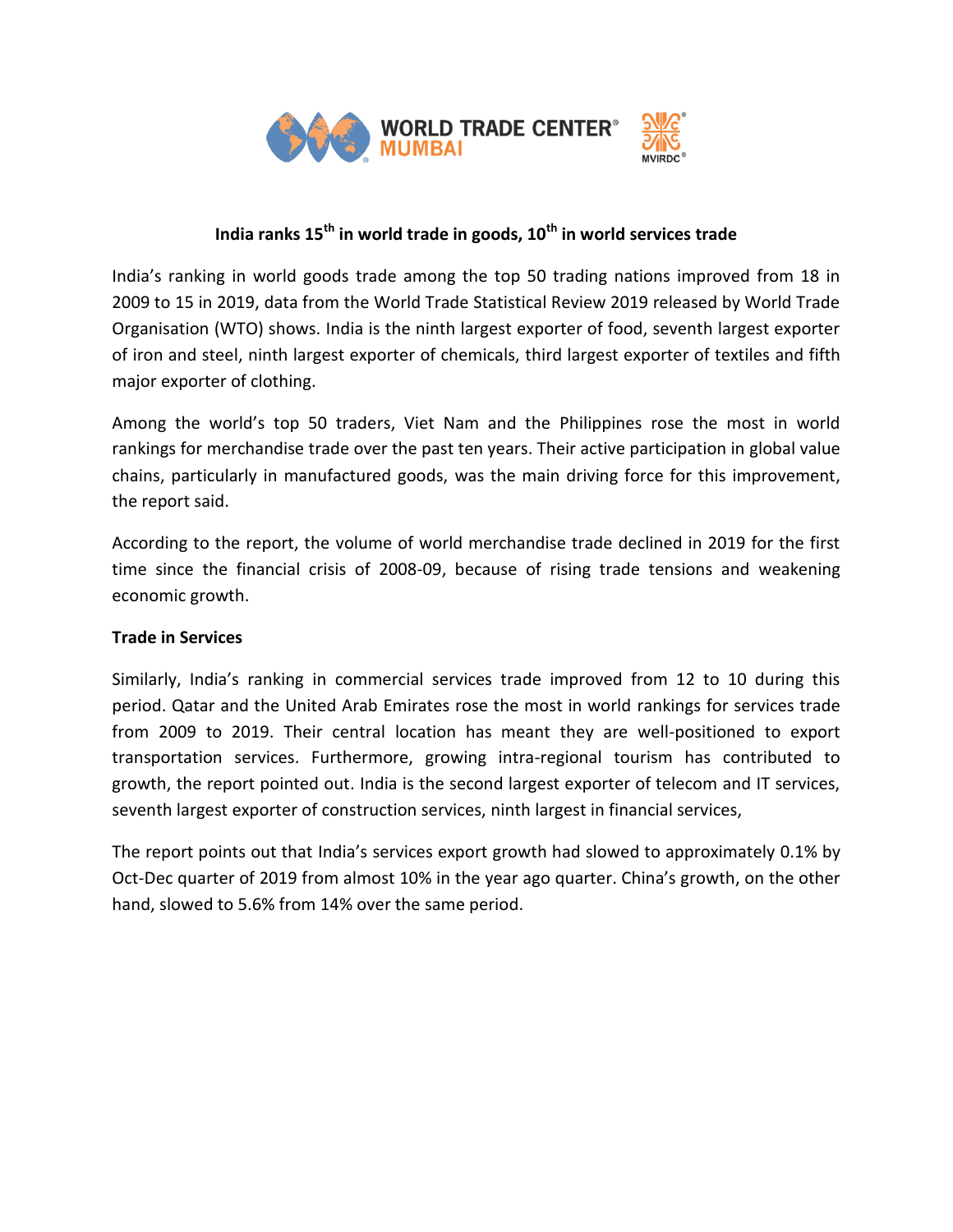

# **India ranks 15th in world trade in goods, 10th in world services trade**

India's ranking in world goods trade among the top 50 trading nations improved from 18 in 2009 to 15 in 2019, data from the World Trade Statistical Review 2019 released by World Trade Organisation (WTO) shows. India is the ninth largest exporter of food, seventh largest exporter of iron and steel, ninth largest exporter of chemicals, third largest exporter of textiles and fifth major exporter of clothing.

Among the world's top 50 traders, Viet Nam and the Philippines rose the most in world rankings for merchandise trade over the past ten years. Their active participation in global value chains, particularly in manufactured goods, was the main driving force for this improvement, the report said.

According to the report, the volume of world merchandise trade declined in 2019 for the first time since the financial crisis of 2008-09, because of rising trade tensions and weakening economic growth.

## **Trade in Services**

Similarly, India's ranking in commercial services trade improved from 12 to 10 during this period. Qatar and the United Arab Emirates rose the most in world rankings for services trade from 2009 to 2019. Their central location has meant they are well-positioned to export transportation services. Furthermore, growing intra-regional tourism has contributed to growth, the report pointed out. India is the second largest exporter of telecom and IT services, seventh largest exporter of construction services, ninth largest in financial services,

The report points out that India's services export growth had slowed to approximately 0.1% by Oct-Dec quarter of 2019 from almost 10% in the year ago quarter. China's growth, on the other hand, slowed to 5.6% from 14% over the same period.